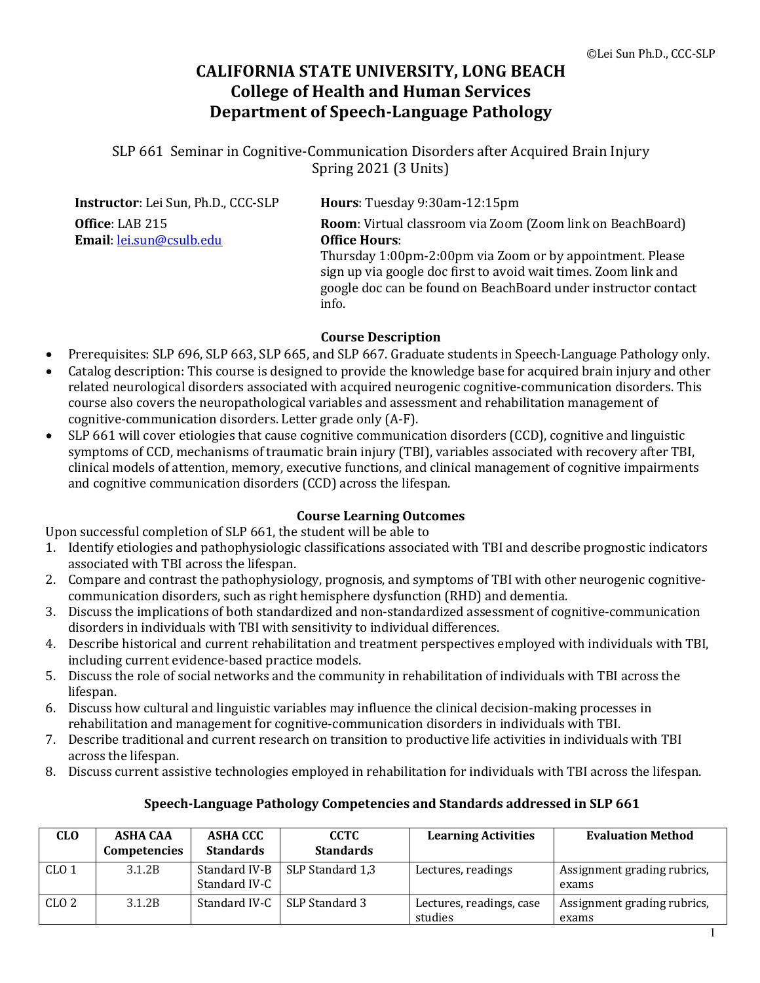# **CALIFORNIA STATE UNIVERSITY, LONG BEACH College of Health and Human Services Department of Speech-Language Pathology**

SLP 661 Seminar in Cognitive-Communication Disorders after Acquired Brain Injury Spring 2021 (3 Units)

| Instructor: Lei Sun, Ph.D., CCC-SLP         | Hours: Tuesday 9:30am-12:15pm                                                                                                                                                                                                                                                                        |
|---------------------------------------------|------------------------------------------------------------------------------------------------------------------------------------------------------------------------------------------------------------------------------------------------------------------------------------------------------|
| Office: LAB 215<br>Email: lei.sun@csulb.edu | <b>Room:</b> Virtual classroom via Zoom (Zoom link on BeachBoard)<br><b>Office Hours:</b><br>Thursday 1:00pm-2:00pm via Zoom or by appointment. Please<br>sign up via google doc first to avoid wait times. Zoom link and<br>google doc can be found on BeachBoard under instructor contact<br>info. |

#### **Course Description**

- Prerequisites: SLP 696, SLP 663, SLP 665, and SLP 667. Graduate students in Speech-Language Pathology only.
- Catalog description: This course is designed to provide the knowledge base for acquired brain injury and other related neurological disorders associated with acquired neurogenic cognitive-communication disorders. This course also covers the neuropathological variables and assessment and rehabilitation management of cognitive-communication disorders. Letter grade only (A-F).
- SLP 661 will cover etiologies that cause cognitive communication disorders (CCD), cognitive and linguistic symptoms of CCD, mechanisms of traumatic brain injury (TBI), variables associated with recovery after TBI, clinical models of attention, memory, executive functions, and clinical management of cognitive impairments and cognitive communication disorders (CCD) across the lifespan.

#### **Course Learning Outcomes**

Upon successful completion of SLP 661, the student will be able to

- 1. Identify etiologies and pathophysiologic classifications associated with TBI and describe prognostic indicators associated with TBI across the lifespan.
- 2. Compare and contrast the pathophysiology, prognosis, and symptoms of TBI with other neurogenic cognitivecommunication disorders, such as right hemisphere dysfunction (RHD) and dementia.
- 3. Discuss the implications of both standardized and non-standardized assessment of cognitive-communication disorders in individuals with TBI with sensitivity to individual differences.
- 4. Describe historical and current rehabilitation and treatment perspectives employed with individuals with TBI, including current evidence-based practice models.
- 5. Discuss the role of social networks and the community in rehabilitation of individuals with TBI across the lifespan.
- 6. Discuss how cultural and linguistic variables may influence the clinical decision-making processes in rehabilitation and management for cognitive-communication disorders in individuals with TBI.
- 7. Describe traditional and current research on transition to productive life activities in individuals with TBI across the lifespan.
- 8. Discuss current assistive technologies employed in rehabilitation for individuals with TBI across the lifespan.

#### **Speech-Language Pathology Competencies and Standards addressed in SLP 661**

| <b>CLO</b>       | <b>ASHA CAA</b><br>Competencies | ASHA CCC<br><b>Standards</b>   | CCTC<br><b>Standards</b> | <b>Learning Activities</b>          | <b>Evaluation Method</b>             |
|------------------|---------------------------------|--------------------------------|--------------------------|-------------------------------------|--------------------------------------|
| CLO <sub>1</sub> | 3.1.2B                          | Standard IV-B<br>Standard IV-C | SLP Standard 1,3         | Lectures, readings                  | Assignment grading rubrics,<br>exams |
| CLO <sub>2</sub> | 3.1.2B                          | Standard IV-C                  | SLP Standard 3           | Lectures, readings, case<br>studies | Assignment grading rubrics,<br>exams |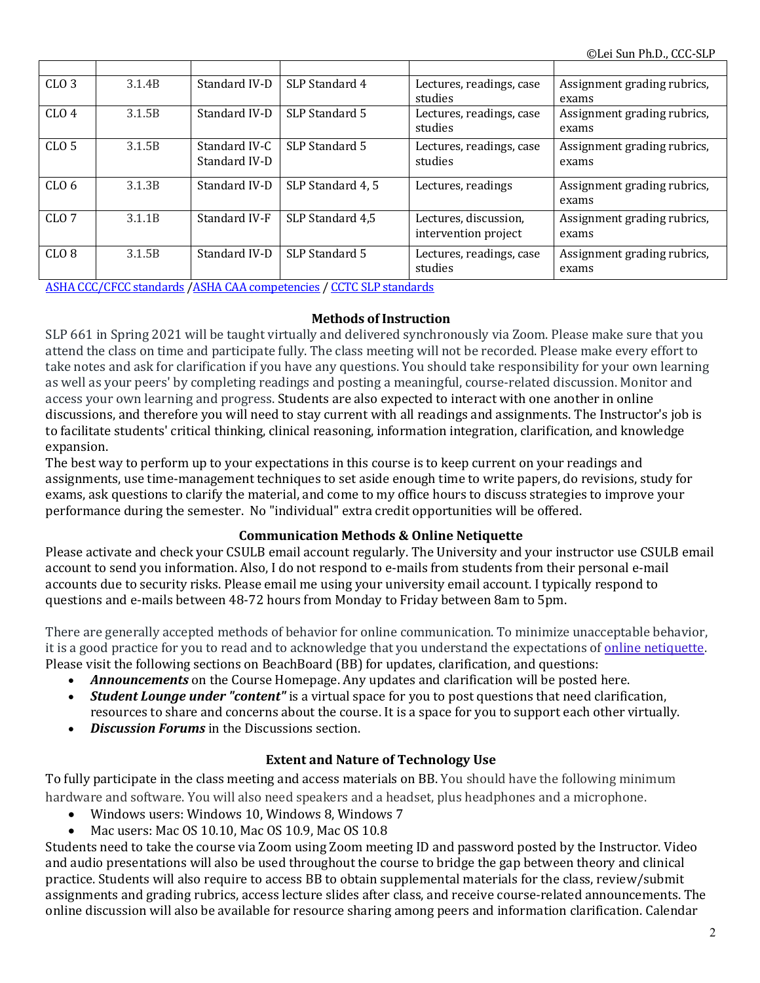| CLO <sub>3</sub> | 3.1.4B             | Standard IV-D                  | SLP Standard 4    | Lectures, readings, case                      | Assignment grading rubrics,          |
|------------------|--------------------|--------------------------------|-------------------|-----------------------------------------------|--------------------------------------|
|                  |                    |                                |                   | studies                                       | exams                                |
| CLO <sub>4</sub> | 3.1.5B             | Standard IV-D                  | SLP Standard 5    | Lectures, readings, case<br>studies           | Assignment grading rubrics,<br>exams |
| CLO <sub>5</sub> | 3.1.5B             | Standard IV-C<br>Standard IV-D | SLP Standard 5    | Lectures, readings, case<br>studies           | Assignment grading rubrics,<br>exams |
| CLO <sub>6</sub> | 3.1.3B             | Standard IV-D                  | SLP Standard 4, 5 | Lectures, readings                            | Assignment grading rubrics,<br>exams |
| CLO <sub>7</sub> | 3.1.1 <sub>R</sub> | Standard IV-F                  | SLP Standard 4.5  | Lectures, discussion,<br>intervention project | Assignment grading rubrics,<br>exams |
| CLO <sub>8</sub> | 3.1.5B             | Standard IV-D                  | SLP Standard 5    | Lectures, readings, case<br>studies           | Assignment grading rubrics,<br>exams |

ASHA CCC/CFCC standards /ASHA CAA competencies / CCTC SLP standards

#### **Methods of Instruction**

SLP 661 in Spring 2021 will be taught virtually and delivered synchronously via Zoom. Please make sure that you attend the class on time and participate fully. The class meeting will not be recorded. Please make every effort to take notes and ask for clarification if you have any questions. You should take responsibility for your own learning as well as your peers' by completing readings and posting a meaningful, course-related discussion. Monitor and access your own learning and progress. Students are also expected to interact with one another in online discussions, and therefore you will need to stay current with all readings and assignments. The Instructor's job is to facilitate students' critical thinking, clinical reasoning, information integration, clarification, and knowledge expansion.

The best way to perform up to your expectations in this course is to keep current on your readings and assignments, use time-management techniques to set aside enough time to write papers, do revisions, study for exams, ask questions to clarify the material, and come to my office hours to discuss strategies to improve your performance during the semester. No "individual" extra credit opportunities will be offered.

#### **Communication Methods & Online Netiquette**

Please activate and check your CSULB email account regularly. The University and your instructor use CSULB email account to send you information. Also, I do not respond to e-mails from students from their personal e-mail accounts due to security risks. Please email me using your university email account. I typically respond to questions and e-mails between 48-72 hours from Monday to Friday between 8am to 5pm.

There are generally accepted methods of behavior for online communication. To minimize unacceptable behavior, it is a good practice for you to read and to acknowledge that you understand the expectations of online netiquette. Please visit the following sections on BeachBoard (BB) for updates, clarification, and questions:

- Announcements on the Course Homepage. Any updates and clarification will be posted here.
- *Student Lounge under "content"* is a virtual space for you to post questions that need clarification, resources to share and concerns about the course. It is a space for you to support each other virtually.
- **Discussion Forums** in the Discussions section.

## **Extent and Nature of Technology Use**

To fully participate in the class meeting and access materials on BB. You should have the following minimum hardware and software. You will also need speakers and a headset, plus headphones and a microphone.

- Windows users: Windows 10, Windows 8, Windows 7
- Mac users: Mac OS 10.10, Mac OS 10.9, Mac OS 10.8

Students need to take the course via Zoom using Zoom meeting ID and password posted by the Instructor. Video and audio presentations will also be used throughout the course to bridge the gap between theory and clinical practice. Students will also require to access BB to obtain supplemental materials for the class, review/submit assignments and grading rubrics, access lecture slides after class, and receive course-related announcements. The online discussion will also be available for resource sharing among peers and information clarification. Calendar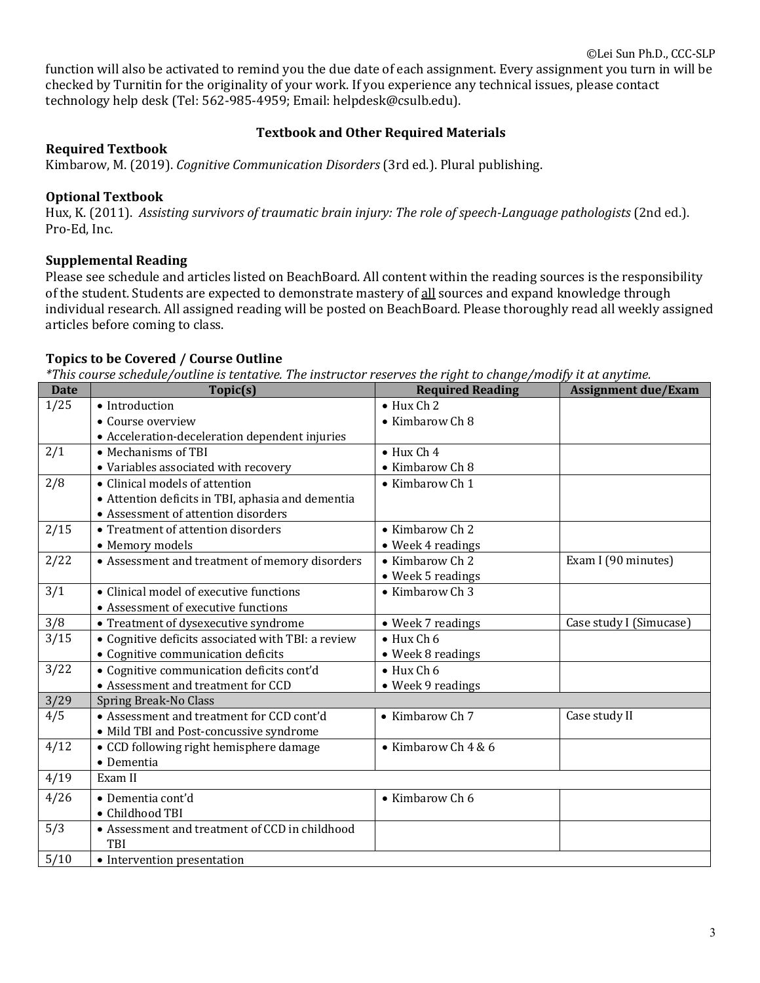function will also be activated to remind you the due date of each assignment. Every assignment you turn in will be checked by Turnitin for the originality of your work. If you experience any technical issues, please contact technology help desk (Tel: 562-985-4959; Email: helpdesk@csulb.edu).

## **Textbook and Other Required Materials**

#### **Required Textbook**

Kimbarow, M. (2019). *Cognitive Communication Disorders* (3rd ed.). Plural publishing.

## **Optional Textbook**

Hux, K. (2011). *Assisting survivors of traumatic brain injury: The role of speech-Language pathologists* (2nd ed.). Pro-Ed, Inc.

## **Supplemental Reading**

Please see schedule and articles listed on BeachBoard. All content within the reading sources is the responsibility of the student. Students are expected to demonstrate mastery of all sources and expand knowledge through individual research. All assigned reading will be posted on BeachBoard. Please thoroughly read all weekly assigned articles before coming to class.

## Topics to be Covered / Course Outline

*\*This* course schedule/outline is tentative. The instructor reserves the right to change/modify it at anytime.

| <b>Date</b> | Topic(s)                                           | <b>Required Reading</b> | <b>Assignment due/Exam</b> |
|-------------|----------------------------------------------------|-------------------------|----------------------------|
| 1/25        | • Introduction                                     | $\bullet$ Hux Ch 2      |                            |
|             | • Course overview                                  | • Kimbarow Ch 8         |                            |
|             | • Acceleration-deceleration dependent injuries     |                         |                            |
| 2/1         | • Mechanisms of TBI                                | $\bullet$ Hux Ch 4      |                            |
|             | • Variables associated with recovery               | • Kimbarow Ch 8         |                            |
| 2/8         | • Clinical models of attention                     | • Kimbarow Ch 1         |                            |
|             | • Attention deficits in TBI, aphasia and dementia  |                         |                            |
|             | • Assessment of attention disorders                |                         |                            |
| 2/15        | • Treatment of attention disorders                 | • Kimbarow Ch 2         |                            |
|             | • Memory models                                    | • Week 4 readings       |                            |
| 2/22        | • Assessment and treatment of memory disorders     | • Kimbarow Ch 2         | Exam I (90 minutes)        |
|             |                                                    | • Week 5 readings       |                            |
| 3/1         | • Clinical model of executive functions            | • Kimbarow Ch 3         |                            |
|             | • Assessment of executive functions                |                         |                            |
| 3/8         | • Treatment of dysexecutive syndrome               | • Week 7 readings       | Case study I (Simucase)    |
| 3/15        | • Cognitive deficits associated with TBI: a review | $\bullet$ Hux Ch 6      |                            |
|             | • Cognitive communication deficits                 | • Week 8 readings       |                            |
| 3/22        | • Cognitive communication deficits cont'd          | $\bullet$ Hux Ch 6      |                            |
|             | • Assessment and treatment for CCD                 | • Week 9 readings       |                            |
| 3/29        | Spring Break-No Class                              |                         |                            |
| 4/5         | • Assessment and treatment for CCD cont'd          | • Kimbarow Ch 7         | Case study II              |
|             | • Mild TBI and Post-concussive syndrome            |                         |                            |
| 4/12        | • CCD following right hemisphere damage            | • Kimbarow Ch 4 & 6     |                            |
|             | • Dementia                                         |                         |                            |
| 4/19        | Exam II                                            |                         |                            |
| 4/26        | · Dementia cont'd                                  | • Kimbarow Ch 6         |                            |
|             | • Childhood TBI                                    |                         |                            |
| 5/3         | • Assessment and treatment of CCD in childhood     |                         |                            |
|             | TBI                                                |                         |                            |
| 5/10        | • Intervention presentation                        |                         |                            |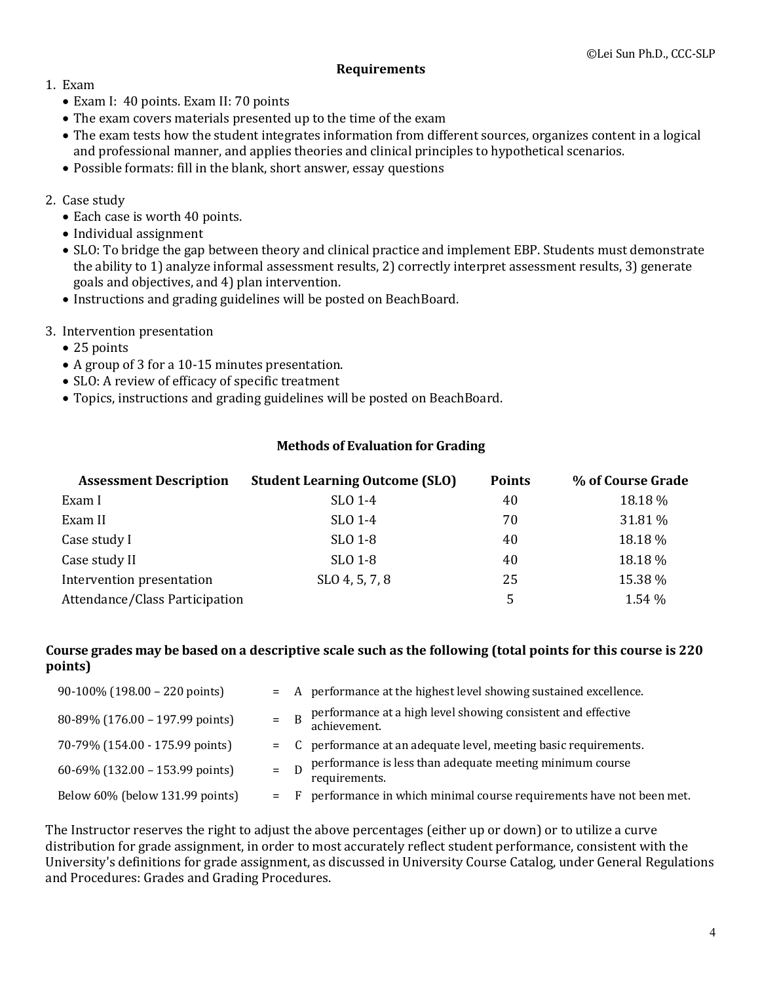#### **Requirements**

- 1. Exam
	- Exam I: 40 points. Exam II: 70 points
	- The exam covers materials presented up to the time of the exam
	- The exam tests how the student integrates information from different sources, organizes content in a logical and professional manner, and applies theories and clinical principles to hypothetical scenarios.
	- Possible formats: fill in the blank, short answer, essay questions

## 2. Case study

- Each case is worth 40 points.
- Individual assignment
- SLO: To bridge the gap between theory and clinical practice and implement EBP. Students must demonstrate the ability to 1) analyze informal assessment results, 2) correctly interpret assessment results, 3) generate goals and objectives, and 4) plan intervention.
- Instructions and grading guidelines will be posted on BeachBoard.
- 3. Intervention presentation
	- 25 points
	- A group of 3 for a 10-15 minutes presentation.
	- SLO: A review of efficacy of specific treatment
	- Topics, instructions and grading guidelines will be posted on BeachBoard.

### **Methods of Evaluation for Grading**

| <b>Assessment Description</b>  | <b>Student Learning Outcome (SLO)</b> | <b>Points</b> | % of Course Grade |
|--------------------------------|---------------------------------------|---------------|-------------------|
| Exam I                         | SLO 1-4                               | 40            | 18.18 %           |
| Exam II                        | SLO 1-4                               | 70            | 31.81 %           |
| Case study I                   | SLO 1-8                               | 40            | 18.18 %           |
| Case study II                  | SLO 1-8                               | 40            | 18.18 %           |
| Intervention presentation      | SLO 4, 5, 7, 8                        | 25            | 15.38 %           |
| Attendance/Class Participation |                                       | 5             | 1.54 %            |

#### Course grades may be based on a descriptive scale such as the following (total points for this course is 220 **points)**

| $90-100\%$ (198.00 – 220 points)          |       | = A performance at the highest level showing sustained excellence.           |
|-------------------------------------------|-------|------------------------------------------------------------------------------|
| 80-89% (176.00 - 197.99 points)           | $=$ B | performance at a high level showing consistent and effective<br>achievement. |
| 70-79% (154.00 - 175.99 points)           |       | = C performance at an adequate level, meeting basic requirements.            |
| 60-69% $(132.00 - 153.99 \text{ points})$ |       | performance is less than adequate meeting minimum course<br>requirements.    |
| Below 60% (below 131.99 points)           | $=$ F | performance in which minimal course requirements have not been met.          |

The Instructor reserves the right to adjust the above percentages (either up or down) or to utilize a curve distribution for grade assignment, in order to most accurately reflect student performance, consistent with the University's definitions for grade assignment, as discussed in University Course Catalog, under General Regulations and Procedures: Grades and Grading Procedures.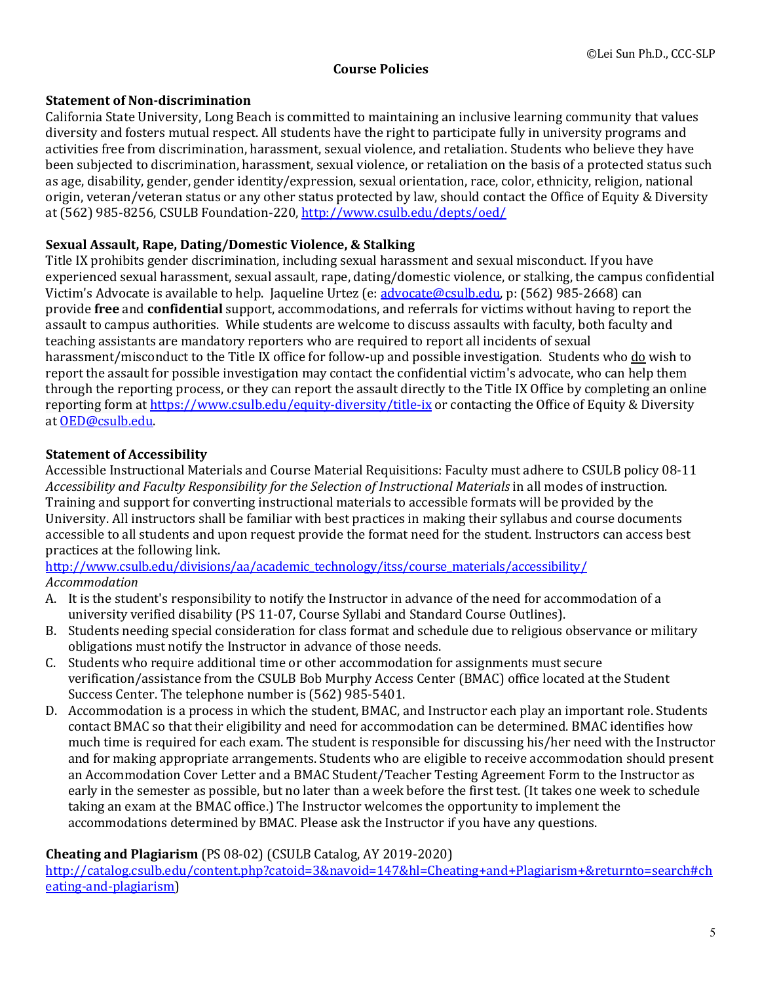## **Course Policies**

### **Statement of Non-discrimination**

California State University, Long Beach is committed to maintaining an inclusive learning community that values diversity and fosters mutual respect. All students have the right to participate fully in university programs and activities free from discrimination, harassment, sexual violence, and retaliation. Students who believe they have been subjected to discrimination, harassment, sexual violence, or retaliation on the basis of a protected status such as age, disability, gender, gender identity/expression, sexual orientation, race, color, ethnicity, religion, national origin, veteran/veteran status or any other status protected by law, should contact the Office of Equity & Diversity at (562) 985-8256, CSULB Foundation-220, http://www.csulb.edu/depts/oed/

## Sexual Assault, Rape, Dating/Domestic Violence, & Stalking

Title IX prohibits gender discrimination, including sexual harassment and sexual misconduct. If you have experienced sexual harassment, sexual assault, rape, dating/domestic violence, or stalking, the campus confidential Victim's Advocate is available to help. Jaqueline Urtez (e: advocate@csulb.edu, p: (562) 985-2668) can provide **free** and **confidential** support, accommodations, and referrals for victims without having to report the assault to campus authorities. While students are welcome to discuss assaults with faculty, both faculty and teaching assistants are mandatory reporters who are required to report all incidents of sexual harassment/misconduct to the Title IX office for follow-up and possible investigation. Students who do wish to report the assault for possible investigation may contact the confidential victim's advocate, who can help them through the reporting process, or they can report the assault directly to the Title IX Office by completing an online reporting form at https://www.csulb.edu/equity-diversity/title-ix or contacting the Office of Equity & Diversity at OED@csulb.edu.

## **Statement of Accessibility**

Accessible Instructional Materials and Course Material Requisitions: Faculty must adhere to CSULB policy 08-11 Accessibility and Faculty Responsibility for the Selection of Instructional Materials in all modes of instruction. Training and support for converting instructional materials to accessible formats will be provided by the University. All instructors shall be familiar with best practices in making their syllabus and course documents accessible to all students and upon request provide the format need for the student. Instructors can access best practices at the following link.

http://www.csulb.edu/divisions/aa/academic\_technology/itss/course\_materials/accessibility/ *Accommodation*

- A. It is the student's responsibility to notify the Instructor in advance of the need for accommodation of a university verified disability (PS 11-07, Course Syllabi and Standard Course Outlines).
- B. Students needing special consideration for class format and schedule due to religious observance or military obligations must notify the Instructor in advance of those needs.
- C. Students who require additional time or other accommodation for assignments must secure verification/assistance from the CSULB Bob Murphy Access Center (BMAC) office located at the Student Success Center. The telephone number is (562) 985-5401.
- D. Accommodation is a process in which the student, BMAC, and Instructor each play an important role. Students contact BMAC so that their eligibility and need for accommodation can be determined. BMAC identifies how much time is required for each exam. The student is responsible for discussing his/her need with the Instructor and for making appropriate arrangements. Students who are eligible to receive accommodation should present an Accommodation Cover Letter and a BMAC Student/Teacher Testing Agreement Form to the Instructor as early in the semester as possible, but no later than a week before the first test. (It takes one week to schedule taking an exam at the BMAC office.) The Instructor welcomes the opportunity to implement the accommodations determined by BMAC. Please ask the Instructor if you have any questions.

## **Cheating and Plagiarism** (PS 08-02) (CSULB Catalog, AY 2019-2020)

http://catalog.csulb.edu/content.php?catoid=3&navoid=147&hl=Cheating+and+Plagiarism+&returnto=search#ch eating-and-plagiarism)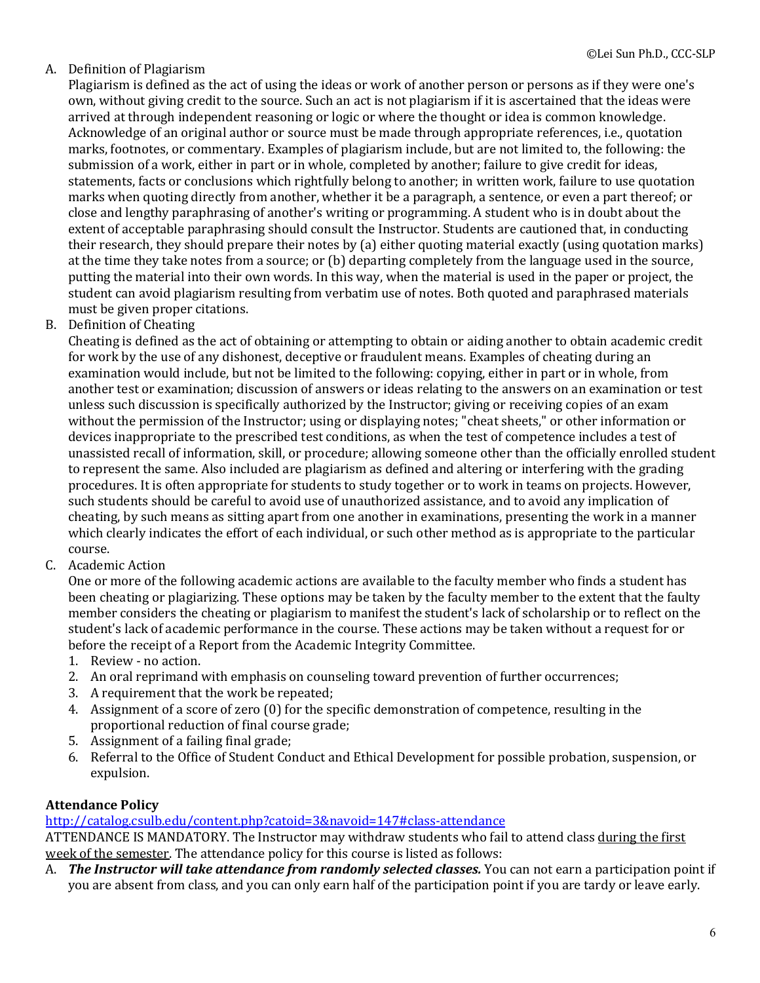## A. Definition of Plagiarism

Plagiarism is defined as the act of using the ideas or work of another person or persons as if they were one's own, without giving credit to the source. Such an act is not plagiarism if it is ascertained that the ideas were arrived at through independent reasoning or logic or where the thought or idea is common knowledge. Acknowledge of an original author or source must be made through appropriate references, i.e., quotation marks, footnotes, or commentary. Examples of plagiarism include, but are not limited to, the following: the submission of a work, either in part or in whole, completed by another; failure to give credit for ideas, statements, facts or conclusions which rightfully belong to another; in written work, failure to use quotation marks when quoting directly from another, whether it be a paragraph, a sentence, or even a part thereof; or close and lengthy paraphrasing of another's writing or programming. A student who is in doubt about the extent of acceptable paraphrasing should consult the Instructor. Students are cautioned that, in conducting their research, they should prepare their notes by (a) either quoting material exactly (using quotation marks) at the time they take notes from a source; or  $(b)$  departing completely from the language used in the source, putting the material into their own words. In this way, when the material is used in the paper or project, the student can avoid plagiarism resulting from verbatim use of notes. Both quoted and paraphrased materials must be given proper citations.

B. Definition of Cheating

Cheating is defined as the act of obtaining or attempting to obtain or aiding another to obtain academic credit for work by the use of any dishonest, deceptive or fraudulent means. Examples of cheating during an examination would include, but not be limited to the following: copying, either in part or in whole, from another test or examination; discussion of answers or ideas relating to the answers on an examination or test unless such discussion is specifically authorized by the Instructor; giving or receiving copies of an exam without the permission of the Instructor; using or displaying notes; "cheat sheets," or other information or devices inappropriate to the prescribed test conditions, as when the test of competence includes a test of unassisted recall of information, skill, or procedure; allowing someone other than the officially enrolled student to represent the same. Also included are plagiarism as defined and altering or interfering with the grading procedures. It is often appropriate for students to study together or to work in teams on projects. However, such students should be careful to avoid use of unauthorized assistance, and to avoid any implication of cheating, by such means as sitting apart from one another in examinations, presenting the work in a manner which clearly indicates the effort of each individual, or such other method as is appropriate to the particular course.

C. Academic Action

One or more of the following academic actions are available to the faculty member who finds a student has been cheating or plagiarizing. These options may be taken by the faculty member to the extent that the faulty member considers the cheating or plagiarism to manifest the student's lack of scholarship or to reflect on the student's lack of academic performance in the course. These actions may be taken without a request for or before the receipt of a Report from the Academic Integrity Committee.

- 1. Review no action.
- 2. An oral reprimand with emphasis on counseling toward prevention of further occurrences;
- 3. A requirement that the work be repeated;
- 4. Assignment of a score of zero (0) for the specific demonstration of competence, resulting in the proportional reduction of final course grade;
- 5. Assignment of a failing final grade;
- 6. Referral to the Office of Student Conduct and Ethical Development for possible probation, suspension, or expulsion.

#### **Attendance Policy**

#### http://catalog.csulb.edu/content.php?catoid=3&navoid=147#class-attendance

ATTENDANCE IS MANDATORY. The Instructor may withdraw students who fail to attend class during the first week of the semester. The attendance policy for this course is listed as follows:

A. *The Instructor will take attendance from randomly selected classes.* You can not earn a participation point if you are absent from class, and you can only earn half of the participation point if you are tardy or leave early.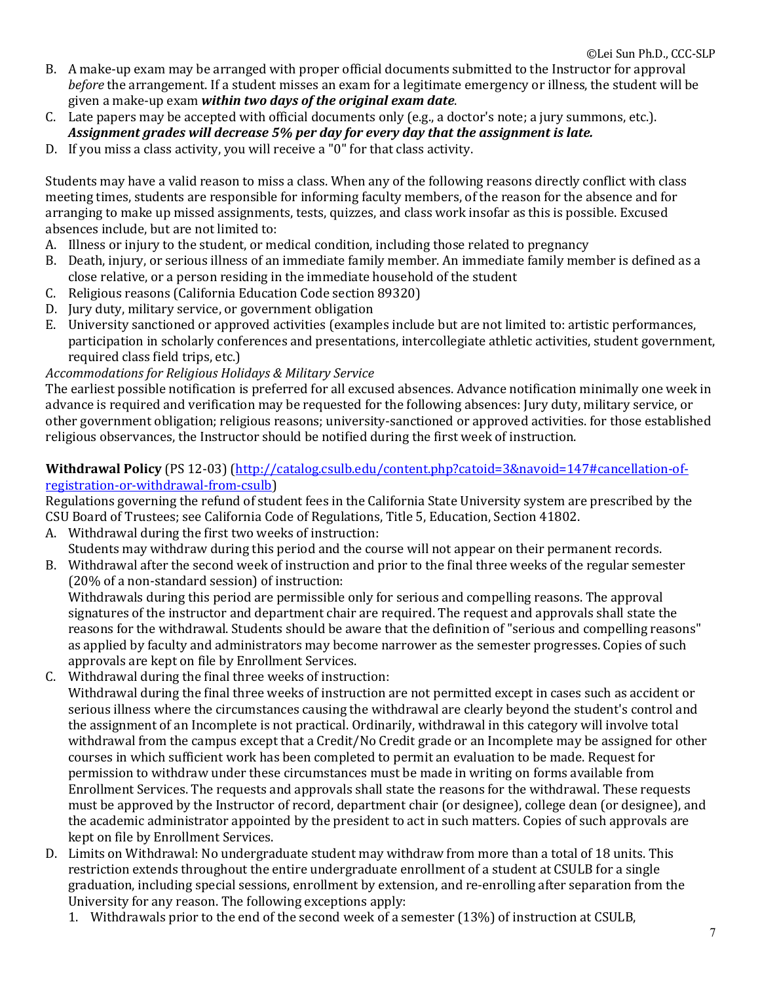- B. A make-up exam may be arranged with proper official documents submitted to the Instructor for approval *before* the arrangement. If a student misses an exam for a legitimate emergency or illness, the student will be given a make-up exam within two days of the original exam date.
- C. Late papers may be accepted with official documents only (e.g., a doctor's note; a jury summons, etc.).
- Assignment grades will decrease 5% per day for every day that the assignment is late.
- D. If you miss a class activity, you will receive a "0" for that class activity.

Students may have a valid reason to miss a class. When any of the following reasons directly conflict with class meeting times, students are responsible for informing faculty members, of the reason for the absence and for arranging to make up missed assignments, tests, quizzes, and class work insofar as this is possible. Excused absences include, but are not limited to:

- A. Illness or injury to the student, or medical condition, including those related to pregnancy
- B. Death, injury, or serious illness of an immediate family member. An immediate family member is defined as a close relative, or a person residing in the immediate household of the student
- C. Religious reasons (California Education Code section 89320)
- D. Jury duty, military service, or government obligation
- E. University sanctioned or approved activities (examples include but are not limited to: artistic performances, participation in scholarly conferences and presentations, intercollegiate athletic activities, student government, required class field trips, etc.)

### Accommodations for Religious Holidays & Military Service

The earliest possible notification is preferred for all excused absences. Advance notification minimally one week in advance is required and verification may be requested for the following absences: Jury duty, military service, or other government obligation; religious reasons; university-sanctioned or approved activities. for those established religious observances, the Instructor should be notified during the first week of instruction.

## Withdrawal Policy (PS 12-03) (http://catalog.csulb.edu/content.php?catoid=3&navoid=147#cancellation-ofregistration-or-withdrawal-from-csulb)

Regulations governing the refund of student fees in the California State University system are prescribed by the CSU Board of Trustees; see California Code of Regulations, Title 5, Education, Section 41802.

- A. Withdrawal during the first two weeks of instruction: Students may withdraw during this period and the course will not appear on their permanent records.
- B. Withdrawal after the second week of instruction and prior to the final three weeks of the regular semester (20% of a non-standard session) of instruction:

Withdrawals during this period are permissible only for serious and compelling reasons. The approval signatures of the instructor and department chair are required. The request and approvals shall state the reasons for the withdrawal. Students should be aware that the definition of "serious and compelling reasons" as applied by faculty and administrators may become narrower as the semester progresses. Copies of such approvals are kept on file by Enrollment Services.

- C. Withdrawal during the final three weeks of instruction:
- Withdrawal during the final three weeks of instruction are not permitted except in cases such as accident or serious illness where the circumstances causing the withdrawal are clearly beyond the student's control and the assignment of an Incomplete is not practical. Ordinarily, withdrawal in this category will involve total withdrawal from the campus except that a Credit/No Credit grade or an Incomplete may be assigned for other courses in which sufficient work has been completed to permit an evaluation to be made. Request for permission to withdraw under these circumstances must be made in writing on forms available from Enrollment Services. The requests and approvals shall state the reasons for the withdrawal. These requests must be approved by the Instructor of record, department chair (or designee), college dean (or designee), and the academic administrator appointed by the president to act in such matters. Copies of such approvals are kept on file by Enrollment Services.
- D. Limits on Withdrawal: No undergraduate student may withdraw from more than a total of 18 units. This restriction extends throughout the entire undergraduate enrollment of a student at CSULB for a single graduation, including special sessions, enrollment by extension, and re-enrolling after separation from the University for any reason. The following exceptions apply:
	- 1. Withdrawals prior to the end of the second week of a semester (13%) of instruction at CSULB,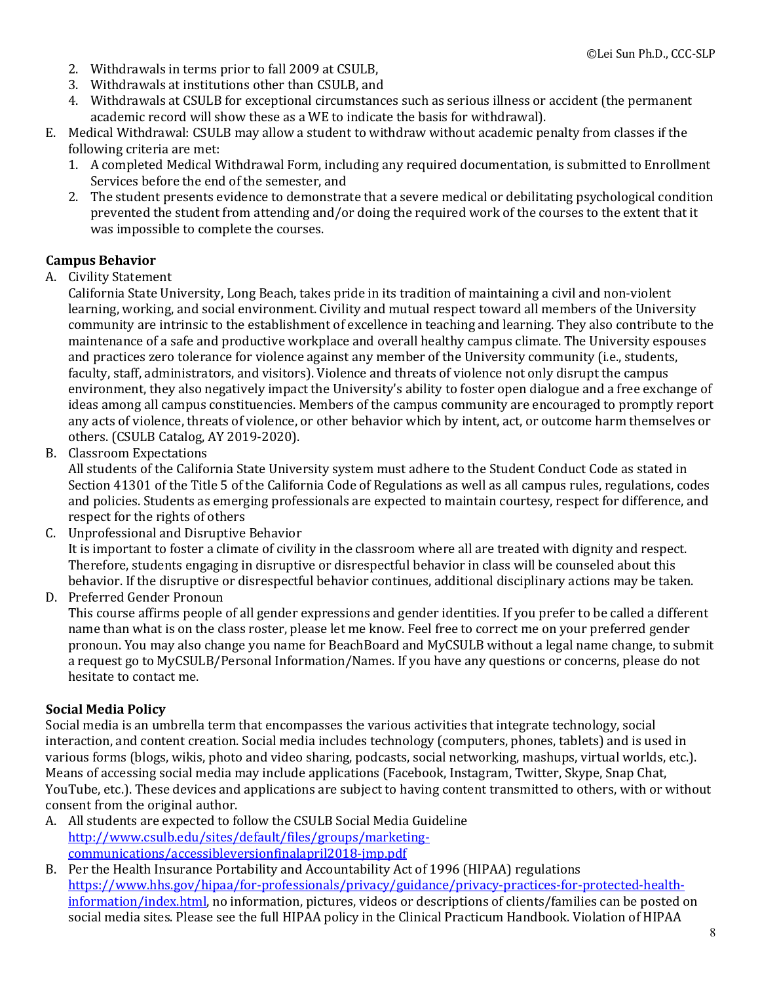- 2. Withdrawals in terms prior to fall 2009 at CSULB,
- 3. Withdrawals at institutions other than CSULB, and
- 4. Withdrawals at CSULB for exceptional circumstances such as serious illness or accident (the permanent academic record will show these as a WE to indicate the basis for withdrawal).
- E. Medical Withdrawal: CSULB may allow a student to withdraw without academic penalty from classes if the following criteria are met:
	- 1. A completed Medical Withdrawal Form, including any required documentation, is submitted to Enrollment Services before the end of the semester, and
	- 2. The student presents evidence to demonstrate that a severe medical or debilitating psychological condition prevented the student from attending and/or doing the required work of the courses to the extent that it was impossible to complete the courses.

#### **Campus Behavior**

A. Civility Statement

California State University, Long Beach, takes pride in its tradition of maintaining a civil and non-violent learning, working, and social environment. Civility and mutual respect toward all members of the University community are intrinsic to the establishment of excellence in teaching and learning. They also contribute to the maintenance of a safe and productive workplace and overall healthy campus climate. The University espouses and practices zero tolerance for violence against any member of the University community (i.e., students, faculty, staff, administrators, and visitors). Violence and threats of violence not only disrupt the campus environment, they also negatively impact the University's ability to foster open dialogue and a free exchange of ideas among all campus constituencies. Members of the campus community are encouraged to promptly report any acts of violence, threats of violence, or other behavior which by intent, act, or outcome harm themselves or others. (CSULB Catalog, AY 2019-2020).

B. Classroom Expectations

All students of the California State University system must adhere to the Student Conduct Code as stated in Section 41301 of the Title 5 of the California Code of Regulations as well as all campus rules, regulations, codes and policies. Students as emerging professionals are expected to maintain courtesy, respect for difference, and respect for the rights of others

C. Unprofessional and Disruptive Behavior

It is important to foster a climate of civility in the classroom where all are treated with dignity and respect. Therefore, students engaging in disruptive or disrespectful behavior in class will be counseled about this behavior. If the disruptive or disrespectful behavior continues, additional disciplinary actions may be taken.

D. Preferred Gender Pronoun

This course affirms people of all gender expressions and gender identities. If you prefer to be called a different name than what is on the class roster, please let me know. Feel free to correct me on your preferred gender pronoun. You may also change you name for BeachBoard and MyCSULB without a legal name change, to submit a request go to MyCSULB/Personal Information/Names. If you have any questions or concerns, please do not hesitate to contact me.

#### **Social Media Policy**

Social media is an umbrella term that encompasses the various activities that integrate technology, social interaction, and content creation. Social media includes technology (computers, phones, tablets) and is used in various forms (blogs, wikis, photo and video sharing, podcasts, social networking, mashups, virtual worlds, etc.). Means of accessing social media may include applications (Facebook, Instagram, Twitter, Skype, Snap Chat, YouTube, etc.). These devices and applications are subject to having content transmitted to others, with or without consent from the original author.

- A. All students are expected to follow the CSULB Social Media Guideline http://www.csulb.edu/sites/default/files/groups/marketingcommunications/accessibleversionfinalapril2018-jmp.pdf
- B. Per the Health Insurance Portability and Accountability Act of 1996 (HIPAA) regulations https://www.hhs.gov/hipaa/for-professionals/privacy/guidance/privacy-practices-for-protected-healthinformation/index.html, no information, pictures, videos or descriptions of clients/families can be posted on social media sites. Please see the full HIPAA policy in the Clinical Practicum Handbook. Violation of HIPAA